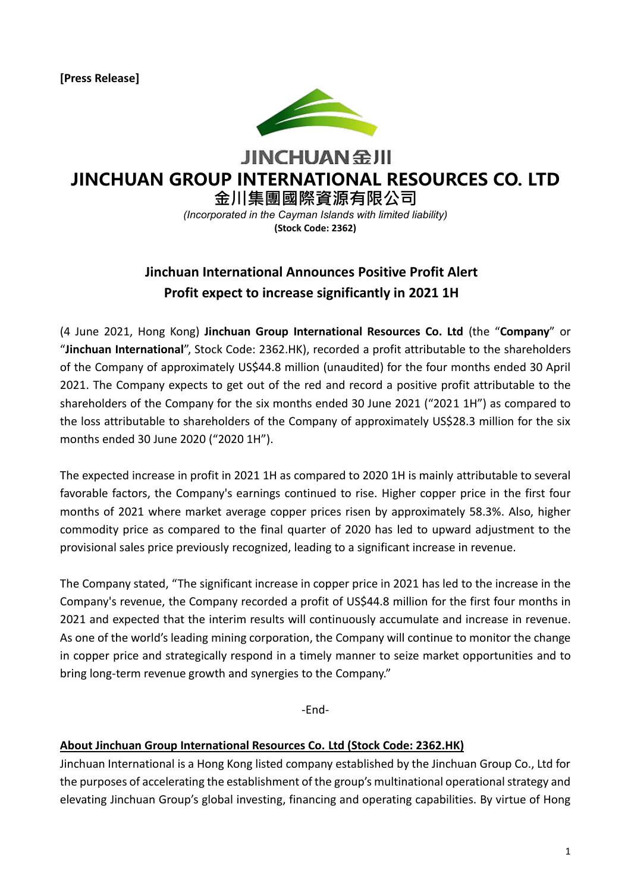**[Press Release]**



**JINCHUAN SHI JINCHUAN GROUP INTERNATIONAL RESOURCES CO. LTD**

**金川集團國際資源有限公司**

*(Incorporated in the Cayman Islands with limited liability)* **(Stock Code: 2362)**

## **Jinchuan International Announces Positive Profit Alert Profit expect to increase significantly in 2021 1H**

(4 June 2021, Hong Kong) **Jinchuan Group International Resources Co. Ltd** (the "**Company**" or "**Jinchuan International**", Stock Code: 2362.HK), recorded a profit attributable to the shareholders of the Company of approximately US\$44.8 million (unaudited) for the four months ended 30 April 2021. The Company expects to get out of the red and record a positive profit attributable to the shareholders of the Company for the six months ended 30 June 2021 ("2021 1H") as compared to the loss attributable to shareholders of the Company of approximately US\$28.3 million for the six months ended 30 June 2020 ("2020 1H").

The expected increase in profit in 2021 1H as compared to 2020 1H is mainly attributable to several favorable factors, the Company's earnings continued to rise. Higher copper price in the first four months of 2021 where market average copper prices risen by approximately 58.3%. Also, higher commodity price as compared to the final quarter of 2020 has led to upward adjustment to the provisional sales price previously recognized, leading to a significant increase in revenue.

The Company stated, "The significant increase in copper price in 2021 has led to the increase in the Company's revenue, the Company recorded a profit of US\$44.8 million for the first four months in 2021 and expected that the interim results will continuously accumulate and increase in revenue. As one of the world's leading mining corporation, the Company will continue to monitor the change in copper price and strategically respond in a timely manner to seize market opportunities and to bring long-term revenue growth and synergies to the Company."

-End-

## **About Jinchuan Group International Resources Co. Ltd (Stock Code: 2362.HK)**

Jinchuan International is a Hong Kong listed company established by the Jinchuan Group Co., Ltd for the purposes of accelerating the establishment of the group's multinational operational strategy and elevating Jinchuan Group's global investing, financing and operating capabilities. By virtue of Hong